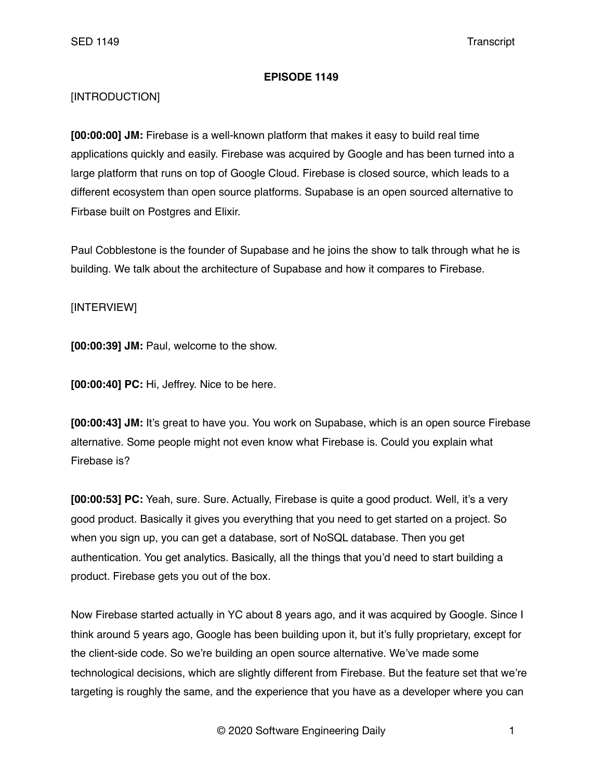## **EPISODE 1149**

## [INTRODUCTION]

**[00:00:00] JM:** Firebase is a well-known platform that makes it easy to build real time applications quickly and easily. Firebase was acquired by Google and has been turned into a large platform that runs on top of Google Cloud. Firebase is closed source, which leads to a different ecosystem than open source platforms. Supabase is an open sourced alternative to Firbase built on Postgres and Elixir.

Paul Cobblestone is the founder of Supabase and he joins the show to talk through what he is building. We talk about the architecture of Supabase and how it compares to Firebase.

## [INTERVIEW]

**[00:00:39] JM:** Paul, welcome to the show.

**[00:00:40] PC:** Hi, Jeffrey. Nice to be here.

**[00:00:43] JM:** It's great to have you. You work on Supabase, which is an open source Firebase alternative. Some people might not even know what Firebase is. Could you explain what Firebase is?

**[00:00:53] PC:** Yeah, sure. Sure. Actually, Firebase is quite a good product. Well, it's a very good product. Basically it gives you everything that you need to get started on a project. So when you sign up, you can get a database, sort of NoSQL database. Then you get authentication. You get analytics. Basically, all the things that you'd need to start building a product. Firebase gets you out of the box.

Now Firebase started actually in YC about 8 years ago, and it was acquired by Google. Since I think around 5 years ago, Google has been building upon it, but it's fully proprietary, except for the client-side code. So we're building an open source alternative. We've made some technological decisions, which are slightly different from Firebase. But the feature set that we're targeting is roughly the same, and the experience that you have as a developer where you can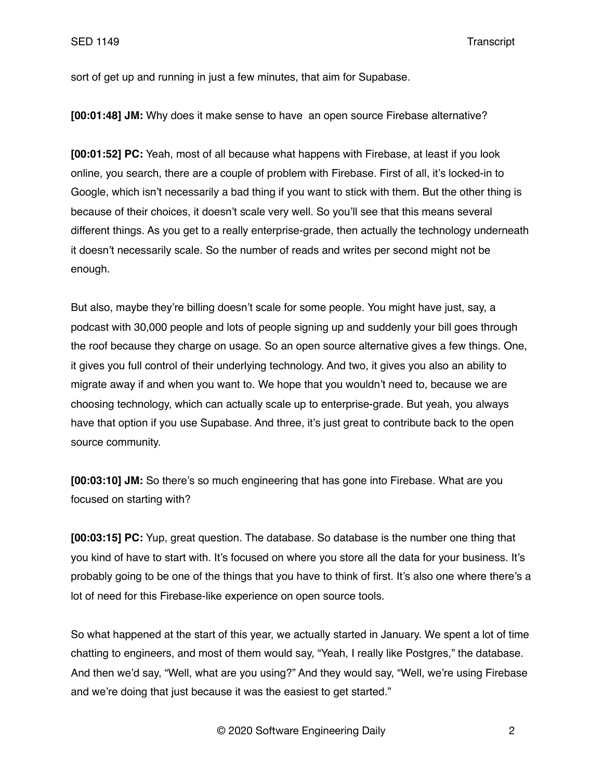sort of get up and running in just a few minutes, that aim for Supabase.

**[00:01:48] JM:** Why does it make sense to have an open source Firebase alternative?

**[00:01:52] PC:** Yeah, most of all because what happens with Firebase, at least if you look online, you search, there are a couple of problem with Firebase. First of all, it's locked-in to Google, which isn't necessarily a bad thing if you want to stick with them. But the other thing is because of their choices, it doesn't scale very well. So you'll see that this means several different things. As you get to a really enterprise-grade, then actually the technology underneath it doesn't necessarily scale. So the number of reads and writes per second might not be enough.

But also, maybe they're billing doesn't scale for some people. You might have just, say, a podcast with 30,000 people and lots of people signing up and suddenly your bill goes through the roof because they charge on usage. So an open source alternative gives a few things. One, it gives you full control of their underlying technology. And two, it gives you also an ability to migrate away if and when you want to. We hope that you wouldn't need to, because we are choosing technology, which can actually scale up to enterprise-grade. But yeah, you always have that option if you use Supabase. And three, it's just great to contribute back to the open source community.

**[00:03:10] JM:** So there's so much engineering that has gone into Firebase. What are you focused on starting with?

**[00:03:15] PC:** Yup, great question. The database. So database is the number one thing that you kind of have to start with. It's focused on where you store all the data for your business. It's probably going to be one of the things that you have to think of first. It's also one where there's a lot of need for this Firebase-like experience on open source tools.

So what happened at the start of this year, we actually started in January. We spent a lot of time chatting to engineers, and most of them would say, "Yeah, I really like Postgres," the database. And then we'd say, "Well, what are you using?" And they would say, "Well, we're using Firebase and we're doing that just because it was the easiest to get started."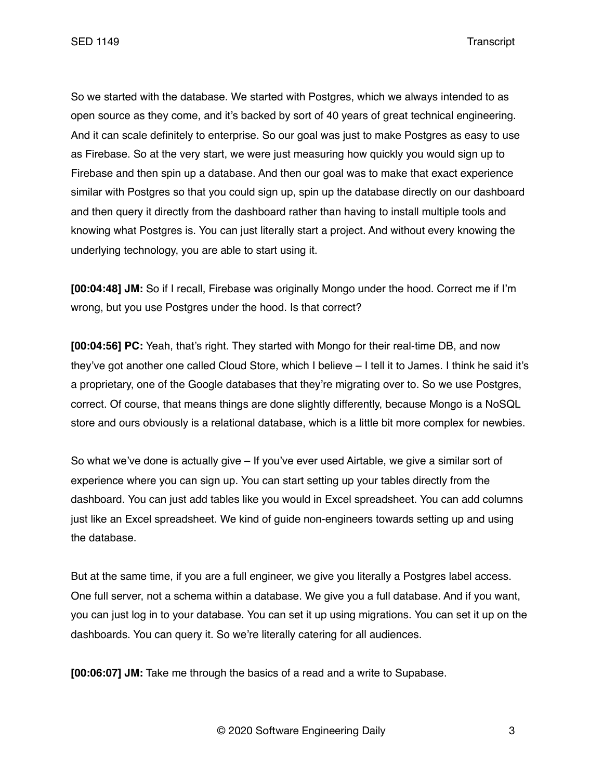SED 1149 Transcript

So we started with the database. We started with Postgres, which we always intended to as open source as they come, and it's backed by sort of 40 years of great technical engineering. And it can scale definitely to enterprise. So our goal was just to make Postgres as easy to use as Firebase. So at the very start, we were just measuring how quickly you would sign up to Firebase and then spin up a database. And then our goal was to make that exact experience similar with Postgres so that you could sign up, spin up the database directly on our dashboard and then query it directly from the dashboard rather than having to install multiple tools and knowing what Postgres is. You can just literally start a project. And without every knowing the underlying technology, you are able to start using it.

**[00:04:48] JM:** So if I recall, Firebase was originally Mongo under the hood. Correct me if I'm wrong, but you use Postgres under the hood. Is that correct?

**[00:04:56] PC:** Yeah, that's right. They started with Mongo for their real-time DB, and now they've got another one called Cloud Store, which I believe – I tell it to James. I think he said it's a proprietary, one of the Google databases that they're migrating over to. So we use Postgres, correct. Of course, that means things are done slightly differently, because Mongo is a NoSQL store and ours obviously is a relational database, which is a little bit more complex for newbies.

So what we've done is actually give – If you've ever used Airtable, we give a similar sort of experience where you can sign up. You can start setting up your tables directly from the dashboard. You can just add tables like you would in Excel spreadsheet. You can add columns just like an Excel spreadsheet. We kind of guide non-engineers towards setting up and using the database.

But at the same time, if you are a full engineer, we give you literally a Postgres label access. One full server, not a schema within a database. We give you a full database. And if you want, you can just log in to your database. You can set it up using migrations. You can set it up on the dashboards. You can query it. So we're literally catering for all audiences.

**[00:06:07] JM:** Take me through the basics of a read and a write to Supabase.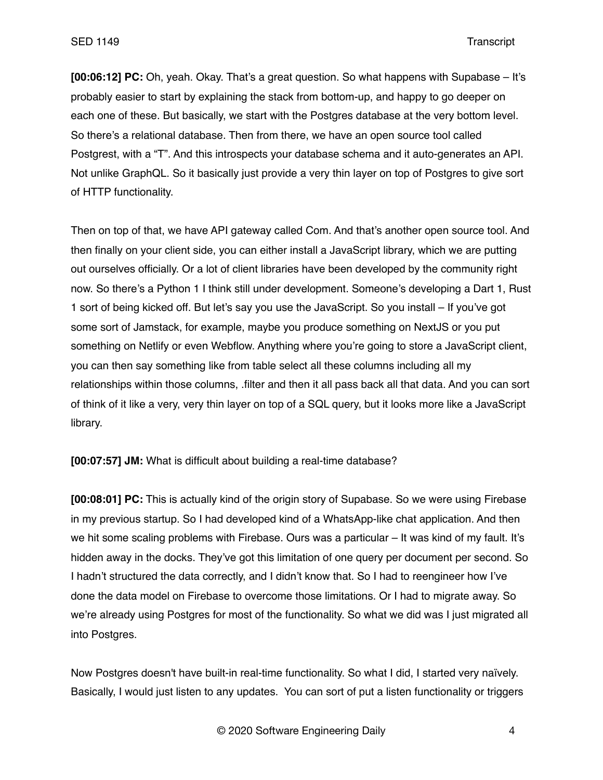**[00:06:12] PC:** Oh, yeah. Okay. That's a great question. So what happens with Supabase – It's probably easier to start by explaining the stack from bottom-up, and happy to go deeper on each one of these. But basically, we start with the Postgres database at the very bottom level. So there's a relational database. Then from there, we have an open source tool called Postgrest, with a "T". And this introspects your database schema and it auto-generates an API. Not unlike GraphQL. So it basically just provide a very thin layer on top of Postgres to give sort of HTTP functionality.

Then on top of that, we have API gateway called Com. And that's another open source tool. And then finally on your client side, you can either install a JavaScript library, which we are putting out ourselves officially. Or a lot of client libraries have been developed by the community right now. So there's a Python 1 I think still under development. Someone's developing a Dart 1, Rust 1 sort of being kicked off. But let's say you use the JavaScript. So you install – If you've got some sort of Jamstack, for example, maybe you produce something on NextJS or you put something on Netlify or even Webflow. Anything where you're going to store a JavaScript client, you can then say something like from table select all these columns including all my relationships within those columns, .filter and then it all pass back all that data. And you can sort of think of it like a very, very thin layer on top of a SQL query, but it looks more like a JavaScript library.

**[00:07:57] JM:** What is difficult about building a real-time database?

**[00:08:01] PC:** This is actually kind of the origin story of Supabase. So we were using Firebase in my previous startup. So I had developed kind of a WhatsApp-like chat application. And then we hit some scaling problems with Firebase. Ours was a particular – It was kind of my fault. It's hidden away in the docks. They've got this limitation of one query per document per second. So I hadn't structured the data correctly, and I didn't know that. So I had to reengineer how I've done the data model on Firebase to overcome those limitations. Or I had to migrate away. So we're already using Postgres for most of the functionality. So what we did was I just migrated all into Postgres.

Now Postgres doesn't have built-in real-time functionality. So what I did, I started very naïvely. Basically, I would just listen to any updates. You can sort of put a listen functionality or triggers

© 2020 Software Engineering Daily 4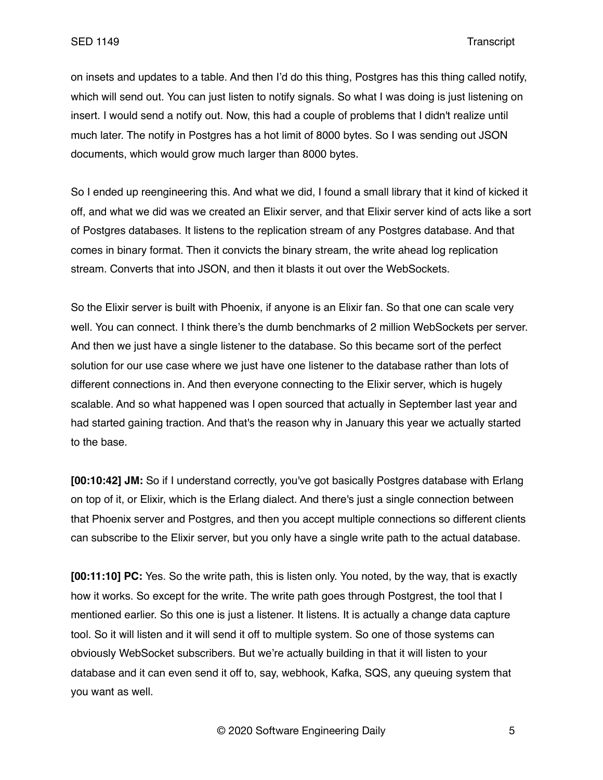on insets and updates to a table. And then I'd do this thing, Postgres has this thing called notify, which will send out. You can just listen to notify signals. So what I was doing is just listening on insert. I would send a notify out. Now, this had a couple of problems that I didn't realize until much later. The notify in Postgres has a hot limit of 8000 bytes. So I was sending out JSON documents, which would grow much larger than 8000 bytes.

So I ended up reengineering this. And what we did, I found a small library that it kind of kicked it off, and what we did was we created an Elixir server, and that Elixir server kind of acts like a sort of Postgres databases. It listens to the replication stream of any Postgres database. And that comes in binary format. Then it convicts the binary stream, the write ahead log replication stream. Converts that into JSON, and then it blasts it out over the WebSockets.

So the Elixir server is built with Phoenix, if anyone is an Elixir fan. So that one can scale very well. You can connect. I think there's the dumb benchmarks of 2 million WebSockets per server. And then we just have a single listener to the database. So this became sort of the perfect solution for our use case where we just have one listener to the database rather than lots of different connections in. And then everyone connecting to the Elixir server, which is hugely scalable. And so what happened was I open sourced that actually in September last year and had started gaining traction. And that's the reason why in January this year we actually started to the base.

**[00:10:42] JM:** So if I understand correctly, you've got basically Postgres database with Erlang on top of it, or Elixir, which is the Erlang dialect. And there's just a single connection between that Phoenix server and Postgres, and then you accept multiple connections so different clients can subscribe to the Elixir server, but you only have a single write path to the actual database.

**[00:11:10] PC:** Yes. So the write path, this is listen only. You noted, by the way, that is exactly how it works. So except for the write. The write path goes through Postgrest, the tool that I mentioned earlier. So this one is just a listener. It listens. It is actually a change data capture tool. So it will listen and it will send it off to multiple system. So one of those systems can obviously WebSocket subscribers. But we're actually building in that it will listen to your database and it can even send it off to, say, webhook, Kafka, SQS, any queuing system that you want as well.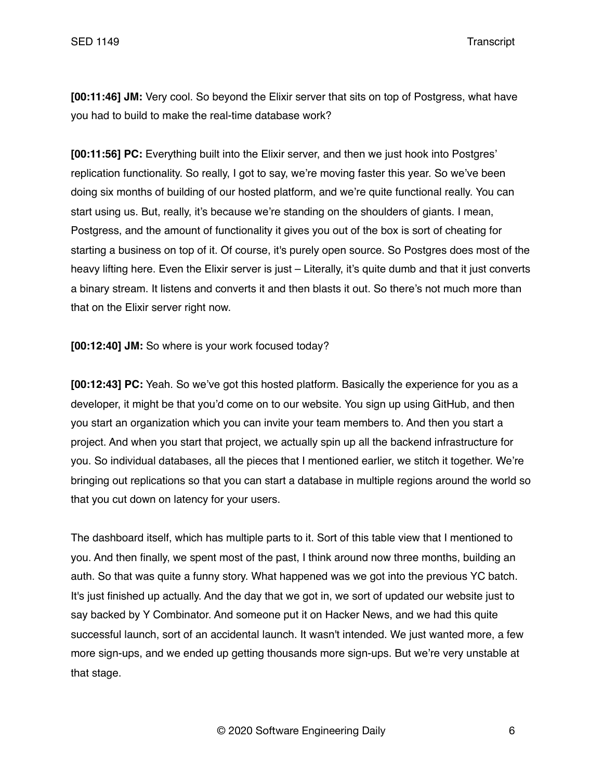**[00:11:46] JM:** Very cool. So beyond the Elixir server that sits on top of Postgress, what have you had to build to make the real-time database work?

**[00:11:56] PC:** Everything built into the Elixir server, and then we just hook into Postgres' replication functionality. So really, I got to say, we're moving faster this year. So we've been doing six months of building of our hosted platform, and we're quite functional really. You can start using us. But, really, it's because we're standing on the shoulders of giants. I mean, Postgress, and the amount of functionality it gives you out of the box is sort of cheating for starting a business on top of it. Of course, it's purely open source. So Postgres does most of the heavy lifting here. Even the Elixir server is just – Literally, it's quite dumb and that it just converts a binary stream. It listens and converts it and then blasts it out. So there's not much more than that on the Elixir server right now.

**[00:12:40] JM:** So where is your work focused today?

**[00:12:43] PC:** Yeah. So we've got this hosted platform. Basically the experience for you as a developer, it might be that you'd come on to our website. You sign up using GitHub, and then you start an organization which you can invite your team members to. And then you start a project. And when you start that project, we actually spin up all the backend infrastructure for you. So individual databases, all the pieces that I mentioned earlier, we stitch it together. We're bringing out replications so that you can start a database in multiple regions around the world so that you cut down on latency for your users.

The dashboard itself, which has multiple parts to it. Sort of this table view that I mentioned to you. And then finally, we spent most of the past, I think around now three months, building an auth. So that was quite a funny story. What happened was we got into the previous YC batch. It's just finished up actually. And the day that we got in, we sort of updated our website just to say backed by Y Combinator. And someone put it on Hacker News, and we had this quite successful launch, sort of an accidental launch. It wasn't intended. We just wanted more, a few more sign-ups, and we ended up getting thousands more sign-ups. But we're very unstable at that stage.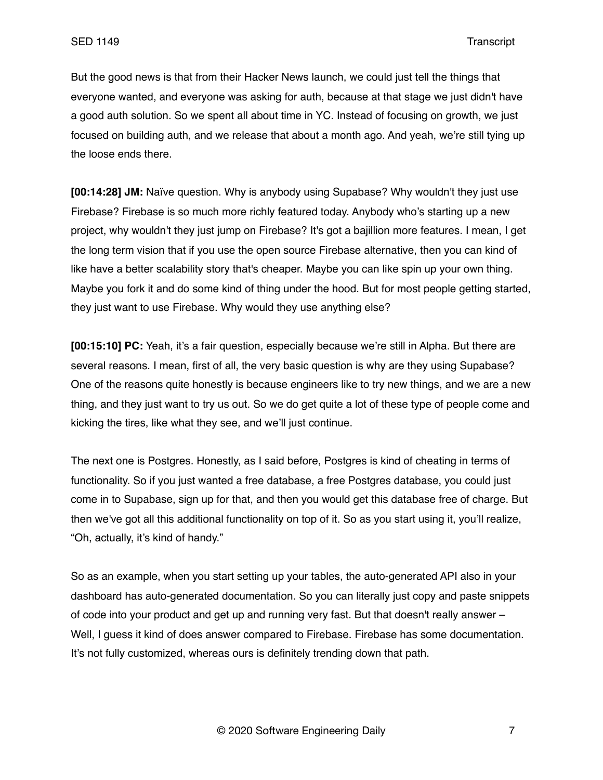But the good news is that from their Hacker News launch, we could just tell the things that everyone wanted, and everyone was asking for auth, because at that stage we just didn't have a good auth solution. So we spent all about time in YC. Instead of focusing on growth, we just focused on building auth, and we release that about a month ago. And yeah, we're still tying up the loose ends there.

**[00:14:28] JM:** Naïve question. Why is anybody using Supabase? Why wouldn't they just use Firebase? Firebase is so much more richly featured today. Anybody who's starting up a new project, why wouldn't they just jump on Firebase? It's got a bajillion more features. I mean, I get the long term vision that if you use the open source Firebase alternative, then you can kind of like have a better scalability story that's cheaper. Maybe you can like spin up your own thing. Maybe you fork it and do some kind of thing under the hood. But for most people getting started, they just want to use Firebase. Why would they use anything else?

**[00:15:10] PC:** Yeah, it's a fair question, especially because we're still in Alpha. But there are several reasons. I mean, first of all, the very basic question is why are they using Supabase? One of the reasons quite honestly is because engineers like to try new things, and we are a new thing, and they just want to try us out. So we do get quite a lot of these type of people come and kicking the tires, like what they see, and we'll just continue.

The next one is Postgres. Honestly, as I said before, Postgres is kind of cheating in terms of functionality. So if you just wanted a free database, a free Postgres database, you could just come in to Supabase, sign up for that, and then you would get this database free of charge. But then we've got all this additional functionality on top of it. So as you start using it, you'll realize, "Oh, actually, it's kind of handy."

So as an example, when you start setting up your tables, the auto-generated API also in your dashboard has auto-generated documentation. So you can literally just copy and paste snippets of code into your product and get up and running very fast. But that doesn't really answer – Well, I guess it kind of does answer compared to Firebase. Firebase has some documentation. It's not fully customized, whereas ours is definitely trending down that path.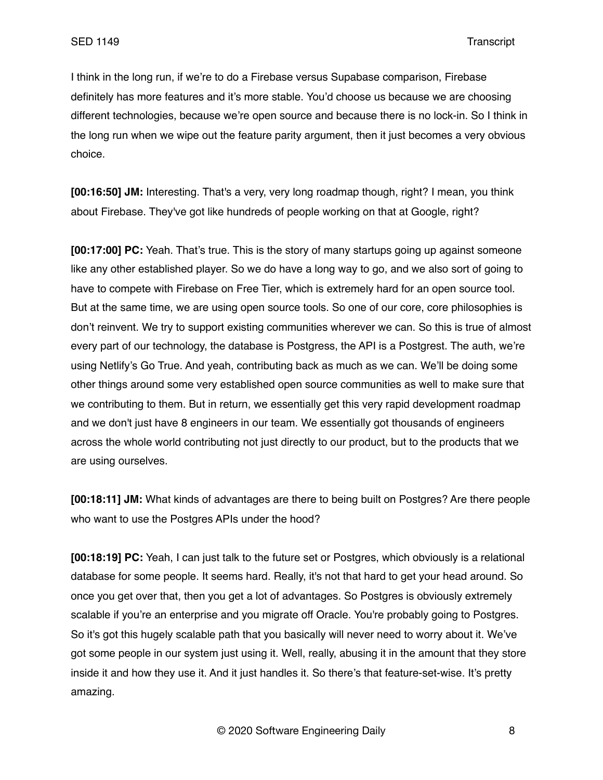I think in the long run, if we're to do a Firebase versus Supabase comparison, Firebase definitely has more features and it's more stable. You'd choose us because we are choosing different technologies, because we're open source and because there is no lock-in. So I think in the long run when we wipe out the feature parity argument, then it just becomes a very obvious choice.

**[00:16:50] JM:** Interesting. That's a very, very long roadmap though, right? I mean, you think about Firebase. They've got like hundreds of people working on that at Google, right?

**[00:17:00] PC:** Yeah. That's true. This is the story of many startups going up against someone like any other established player. So we do have a long way to go, and we also sort of going to have to compete with Firebase on Free Tier, which is extremely hard for an open source tool. But at the same time, we are using open source tools. So one of our core, core philosophies is don't reinvent. We try to support existing communities wherever we can. So this is true of almost every part of our technology, the database is Postgress, the API is a Postgrest. The auth, we're using Netlify's Go True. And yeah, contributing back as much as we can. We'll be doing some other things around some very established open source communities as well to make sure that we contributing to them. But in return, we essentially get this very rapid development roadmap and we don't just have 8 engineers in our team. We essentially got thousands of engineers across the whole world contributing not just directly to our product, but to the products that we are using ourselves.

**[00:18:11] JM:** What kinds of advantages are there to being built on Postgres? Are there people who want to use the Postgres APIs under the hood?

**[00:18:19] PC:** Yeah, I can just talk to the future set or Postgres, which obviously is a relational database for some people. It seems hard. Really, it's not that hard to get your head around. So once you get over that, then you get a lot of advantages. So Postgres is obviously extremely scalable if you're an enterprise and you migrate off Oracle. You're probably going to Postgres. So it's got this hugely scalable path that you basically will never need to worry about it. We've got some people in our system just using it. Well, really, abusing it in the amount that they store inside it and how they use it. And it just handles it. So there's that feature-set-wise. It's pretty amazing.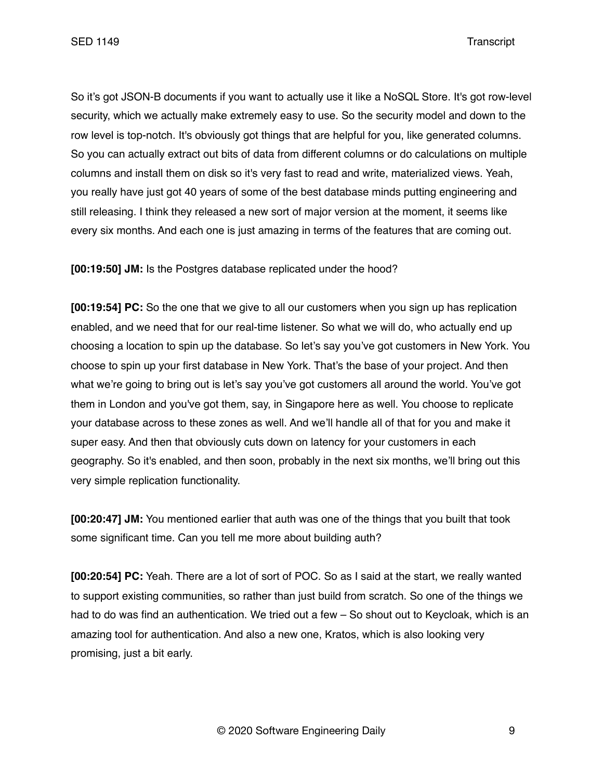So it's got JSON-B documents if you want to actually use it like a NoSQL Store. It's got row-level security, which we actually make extremely easy to use. So the security model and down to the row level is top-notch. It's obviously got things that are helpful for you, like generated columns. So you can actually extract out bits of data from different columns or do calculations on multiple columns and install them on disk so it's very fast to read and write, materialized views. Yeah, you really have just got 40 years of some of the best database minds putting engineering and still releasing. I think they released a new sort of major version at the moment, it seems like every six months. And each one is just amazing in terms of the features that are coming out.

**[00:19:50] JM:** Is the Postgres database replicated under the hood?

**[00:19:54] PC:** So the one that we give to all our customers when you sign up has replication enabled, and we need that for our real-time listener. So what we will do, who actually end up choosing a location to spin up the database. So let's say you've got customers in New York. You choose to spin up your first database in New York. That's the base of your project. And then what we're going to bring out is let's say you've got customers all around the world. You've got them in London and you've got them, say, in Singapore here as well. You choose to replicate your database across to these zones as well. And we'll handle all of that for you and make it super easy. And then that obviously cuts down on latency for your customers in each geography. So it's enabled, and then soon, probably in the next six months, we'll bring out this very simple replication functionality.

**[00:20:47] JM:** You mentioned earlier that auth was one of the things that you built that took some significant time. Can you tell me more about building auth?

**[00:20:54] PC:** Yeah. There are a lot of sort of POC. So as I said at the start, we really wanted to support existing communities, so rather than just build from scratch. So one of the things we had to do was find an authentication. We tried out a few – So shout out to Keycloak, which is an amazing tool for authentication. And also a new one, Kratos, which is also looking very promising, just a bit early.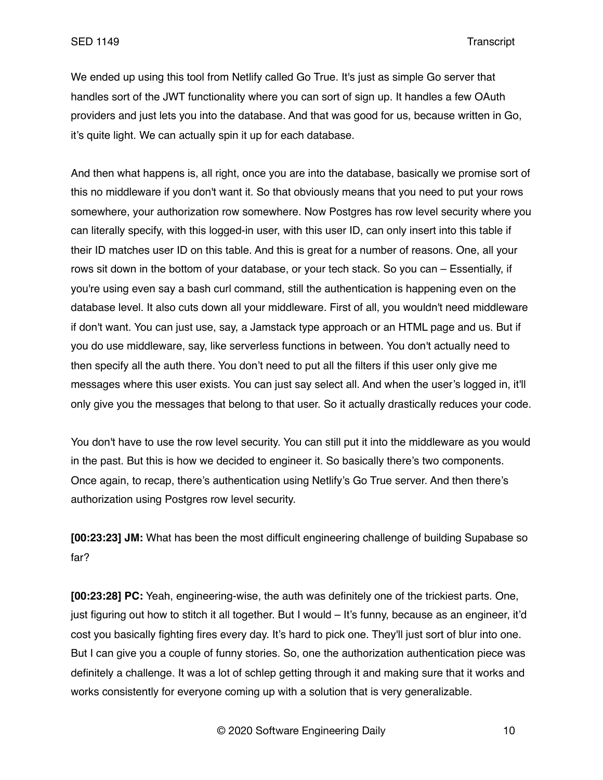We ended up using this tool from Netlify called Go True. It's just as simple Go server that handles sort of the JWT functionality where you can sort of sign up. It handles a few OAuth providers and just lets you into the database. And that was good for us, because written in Go, it's quite light. We can actually spin it up for each database.

And then what happens is, all right, once you are into the database, basically we promise sort of this no middleware if you don't want it. So that obviously means that you need to put your rows somewhere, your authorization row somewhere. Now Postgres has row level security where you can literally specify, with this logged-in user, with this user ID, can only insert into this table if their ID matches user ID on this table. And this is great for a number of reasons. One, all your rows sit down in the bottom of your database, or your tech stack. So you can – Essentially, if you're using even say a bash curl command, still the authentication is happening even on the database level. It also cuts down all your middleware. First of all, you wouldn't need middleware if don't want. You can just use, say, a Jamstack type approach or an HTML page and us. But if you do use middleware, say, like serverless functions in between. You don't actually need to then specify all the auth there. You don't need to put all the filters if this user only give me messages where this user exists. You can just say select all. And when the user's logged in, it'll only give you the messages that belong to that user. So it actually drastically reduces your code.

You don't have to use the row level security. You can still put it into the middleware as you would in the past. But this is how we decided to engineer it. So basically there's two components. Once again, to recap, there's authentication using Netlify's Go True server. And then there's authorization using Postgres row level security.

**[00:23:23] JM:** What has been the most difficult engineering challenge of building Supabase so far?

**[00:23:28] PC:** Yeah, engineering-wise, the auth was definitely one of the trickiest parts. One, just figuring out how to stitch it all together. But I would – It's funny, because as an engineer, it'd cost you basically fighting fires every day. It's hard to pick one. They'll just sort of blur into one. But I can give you a couple of funny stories. So, one the authorization authentication piece was definitely a challenge. It was a lot of schlep getting through it and making sure that it works and works consistently for everyone coming up with a solution that is very generalizable.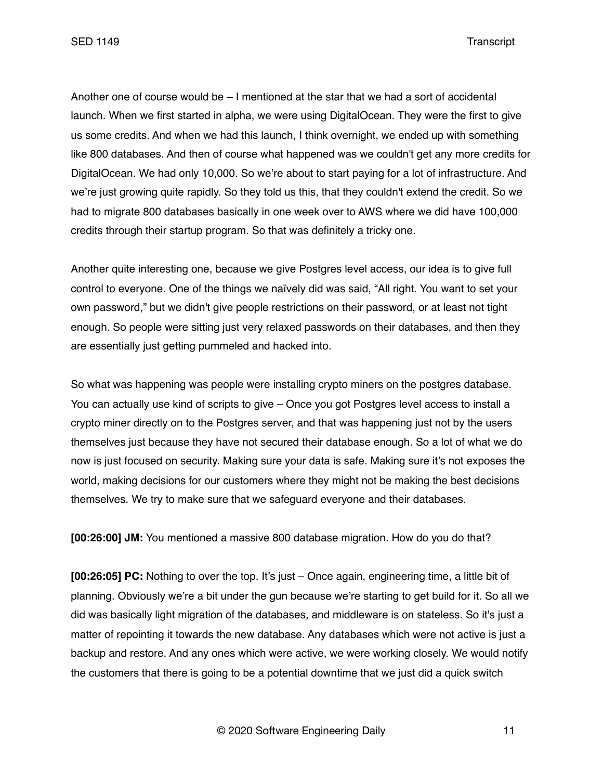SED 1149 Transcript

Another one of course would be – I mentioned at the star that we had a sort of accidental launch. When we first started in alpha, we were using DigitalOcean. They were the first to give us some credits. And when we had this launch, I think overnight, we ended up with something like 800 databases. And then of course what happened was we couldn't get any more credits for DigitalOcean. We had only 10,000. So we're about to start paying for a lot of infrastructure. And we're just growing quite rapidly. So they told us this, that they couldn't extend the credit. So we had to migrate 800 databases basically in one week over to AWS where we did have 100,000 credits through their startup program. So that was definitely a tricky one.

Another quite interesting one, because we give Postgres level access, our idea is to give full control to everyone. One of the things we naïvely did was said, "All right. You want to set your own password," but we didn't give people restrictions on their password, or at least not tight enough. So people were sitting just very relaxed passwords on their databases, and then they are essentially just getting pummeled and hacked into.

So what was happening was people were installing crypto miners on the postgres database. You can actually use kind of scripts to give – Once you got Postgres level access to install a crypto miner directly on to the Postgres server, and that was happening just not by the users themselves just because they have not secured their database enough. So a lot of what we do now is just focused on security. Making sure your data is safe. Making sure it's not exposes the world, making decisions for our customers where they might not be making the best decisions themselves. We try to make sure that we safeguard everyone and their databases.

**[00:26:00] JM:** You mentioned a massive 800 database migration. How do you do that?

**[00:26:05] PC:** Nothing to over the top. It's just – Once again, engineering time, a little bit of planning. Obviously we're a bit under the gun because we're starting to get build for it. So all we did was basically light migration of the databases, and middleware is on stateless. So it's just a matter of repointing it towards the new database. Any databases which were not active is just a backup and restore. And any ones which were active, we were working closely. We would notify the customers that there is going to be a potential downtime that we just did a quick switch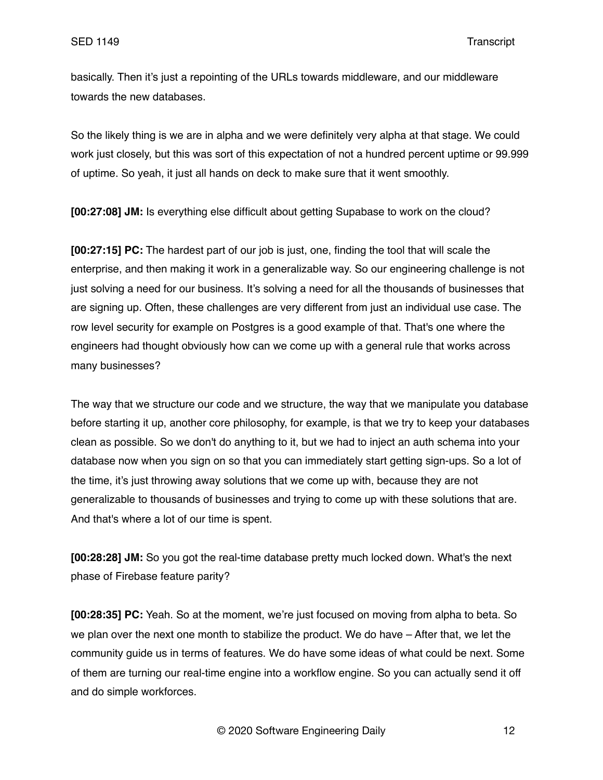basically. Then it's just a repointing of the URLs towards middleware, and our middleware towards the new databases.

So the likely thing is we are in alpha and we were definitely very alpha at that stage. We could work just closely, but this was sort of this expectation of not a hundred percent uptime or 99.999 of uptime. So yeah, it just all hands on deck to make sure that it went smoothly.

**[00:27:08] JM:** Is everything else difficult about getting Supabase to work on the cloud?

**[00:27:15] PC:** The hardest part of our job is just, one, finding the tool that will scale the enterprise, and then making it work in a generalizable way. So our engineering challenge is not just solving a need for our business. It's solving a need for all the thousands of businesses that are signing up. Often, these challenges are very different from just an individual use case. The row level security for example on Postgres is a good example of that. That's one where the engineers had thought obviously how can we come up with a general rule that works across many businesses?

The way that we structure our code and we structure, the way that we manipulate you database before starting it up, another core philosophy, for example, is that we try to keep your databases clean as possible. So we don't do anything to it, but we had to inject an auth schema into your database now when you sign on so that you can immediately start getting sign-ups. So a lot of the time, it's just throwing away solutions that we come up with, because they are not generalizable to thousands of businesses and trying to come up with these solutions that are. And that's where a lot of our time is spent.

**[00:28:28] JM:** So you got the real-time database pretty much locked down. What's the next phase of Firebase feature parity?

**[00:28:35] PC:** Yeah. So at the moment, we're just focused on moving from alpha to beta. So we plan over the next one month to stabilize the product. We do have – After that, we let the community guide us in terms of features. We do have some ideas of what could be next. Some of them are turning our real-time engine into a workflow engine. So you can actually send it off and do simple workforces.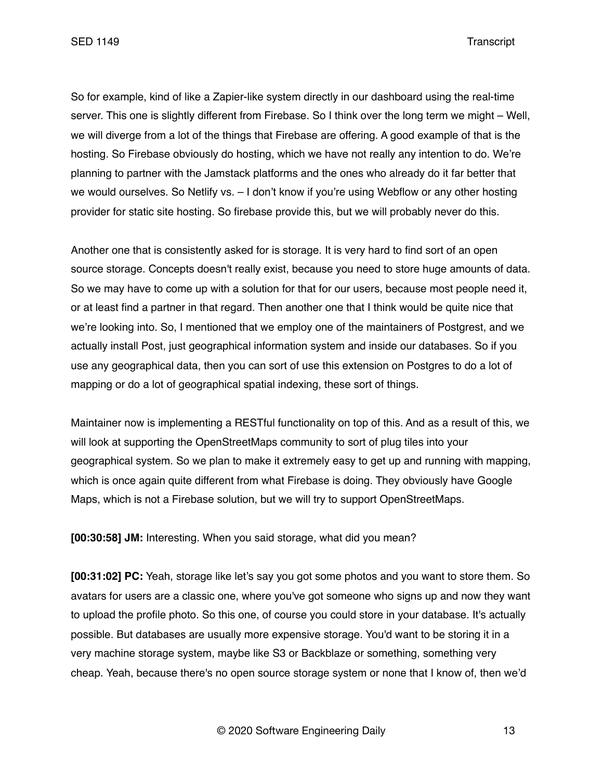SED 1149 Transcript

So for example, kind of like a Zapier-like system directly in our dashboard using the real-time server. This one is slightly different from Firebase. So I think over the long term we might – Well, we will diverge from a lot of the things that Firebase are offering. A good example of that is the hosting. So Firebase obviously do hosting, which we have not really any intention to do. We're planning to partner with the Jamstack platforms and the ones who already do it far better that we would ourselves. So Netlify vs. – I don't know if you're using Webflow or any other hosting provider for static site hosting. So firebase provide this, but we will probably never do this.

Another one that is consistently asked for is storage. It is very hard to find sort of an open source storage. Concepts doesn't really exist, because you need to store huge amounts of data. So we may have to come up with a solution for that for our users, because most people need it, or at least find a partner in that regard. Then another one that I think would be quite nice that we're looking into. So, I mentioned that we employ one of the maintainers of Postgrest, and we actually install Post, just geographical information system and inside our databases. So if you use any geographical data, then you can sort of use this extension on Postgres to do a lot of mapping or do a lot of geographical spatial indexing, these sort of things.

Maintainer now is implementing a RESTful functionality on top of this. And as a result of this, we will look at supporting the OpenStreetMaps community to sort of plug tiles into your geographical system. So we plan to make it extremely easy to get up and running with mapping, which is once again quite different from what Firebase is doing. They obviously have Google Maps, which is not a Firebase solution, but we will try to support OpenStreetMaps.

**[00:30:58] JM:** Interesting. When you said storage, what did you mean?

**[00:31:02] PC:** Yeah, storage like let's say you got some photos and you want to store them. So avatars for users are a classic one, where you've got someone who signs up and now they want to upload the profile photo. So this one, of course you could store in your database. It's actually possible. But databases are usually more expensive storage. You'd want to be storing it in a very machine storage system, maybe like S3 or Backblaze or something, something very cheap. Yeah, because there's no open source storage system or none that I know of, then we'd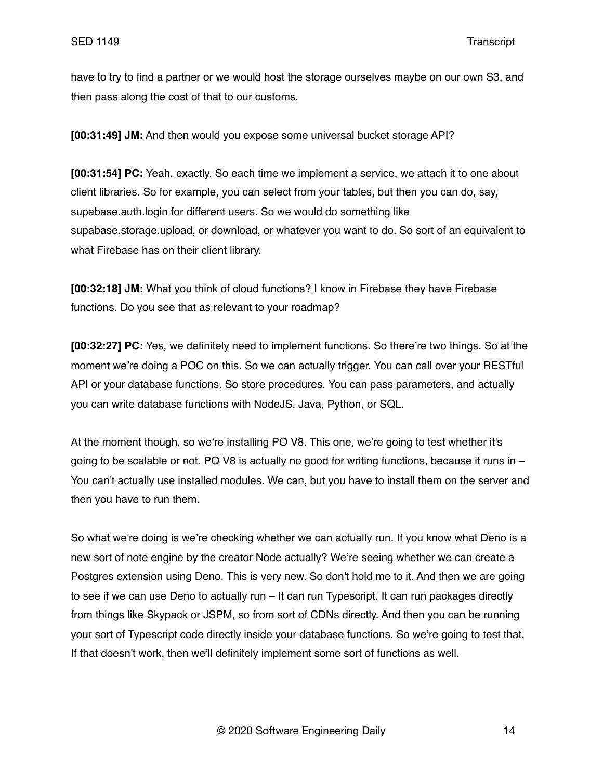have to try to find a partner or we would host the storage ourselves maybe on our own S3, and then pass along the cost of that to our customs.

**[00:31:49] JM:** And then would you expose some universal bucket storage API?

**[00:31:54] PC:** Yeah, exactly. So each time we implement a service, we attach it to one about client libraries. So for example, you can select from your tables, but then you can do, say, supabase.auth.login for different users. So we would do something like supabase.storage.upload, or download, or whatever you want to do. So sort of an equivalent to what Firebase has on their client library.

**[00:32:18] JM:** What you think of cloud functions? I know in Firebase they have Firebase functions. Do you see that as relevant to your roadmap?

**[00:32:27] PC:** Yes, we definitely need to implement functions. So there're two things. So at the moment we're doing a POC on this. So we can actually trigger. You can call over your RESTful API or your database functions. So store procedures. You can pass parameters, and actually you can write database functions with NodeJS, Java, Python, or SQL.

At the moment though, so we're installing PO V8. This one, we're going to test whether it's going to be scalable or not. PO V8 is actually no good for writing functions, because it runs in – You can't actually use installed modules. We can, but you have to install them on the server and then you have to run them.

So what we're doing is we're checking whether we can actually run. If you know what Deno is a new sort of note engine by the creator Node actually? We're seeing whether we can create a Postgres extension using Deno. This is very new. So don't hold me to it. And then we are going to see if we can use Deno to actually run – It can run Typescript. It can run packages directly from things like Skypack or JSPM, so from sort of CDNs directly. And then you can be running your sort of Typescript code directly inside your database functions. So we're going to test that. If that doesn't work, then we'll definitely implement some sort of functions as well.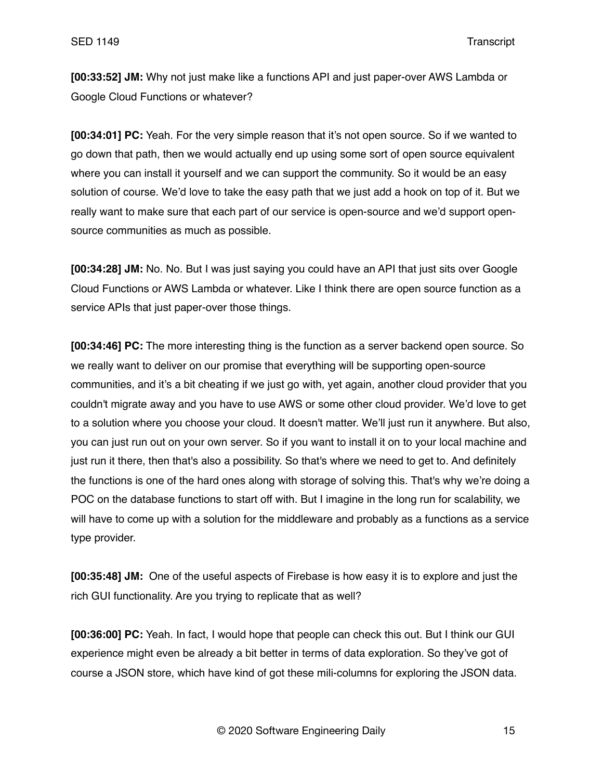**[00:33:52] JM:** Why not just make like a functions API and just paper-over AWS Lambda or Google Cloud Functions or whatever?

**[00:34:01] PC:** Yeah. For the very simple reason that it's not open source. So if we wanted to go down that path, then we would actually end up using some sort of open source equivalent where you can install it yourself and we can support the community. So it would be an easy solution of course. We'd love to take the easy path that we just add a hook on top of it. But we really want to make sure that each part of our service is open-source and we'd support opensource communities as much as possible.

**[00:34:28] JM:** No. No. But I was just saying you could have an API that just sits over Google Cloud Functions or AWS Lambda or whatever. Like I think there are open source function as a service APIs that just paper-over those things.

**[00:34:46] PC:** The more interesting thing is the function as a server backend open source. So we really want to deliver on our promise that everything will be supporting open-source communities, and it's a bit cheating if we just go with, yet again, another cloud provider that you couldn't migrate away and you have to use AWS or some other cloud provider. We'd love to get to a solution where you choose your cloud. It doesn't matter. We'll just run it anywhere. But also, you can just run out on your own server. So if you want to install it on to your local machine and just run it there, then that's also a possibility. So that's where we need to get to. And definitely the functions is one of the hard ones along with storage of solving this. That's why we're doing a POC on the database functions to start off with. But I imagine in the long run for scalability, we will have to come up with a solution for the middleware and probably as a functions as a service type provider.

**[00:35:48] JM:** One of the useful aspects of Firebase is how easy it is to explore and just the rich GUI functionality. Are you trying to replicate that as well?

**[00:36:00] PC:** Yeah. In fact, I would hope that people can check this out. But I think our GUI experience might even be already a bit better in terms of data exploration. So they've got of course a JSON store, which have kind of got these mili-columns for exploring the JSON data.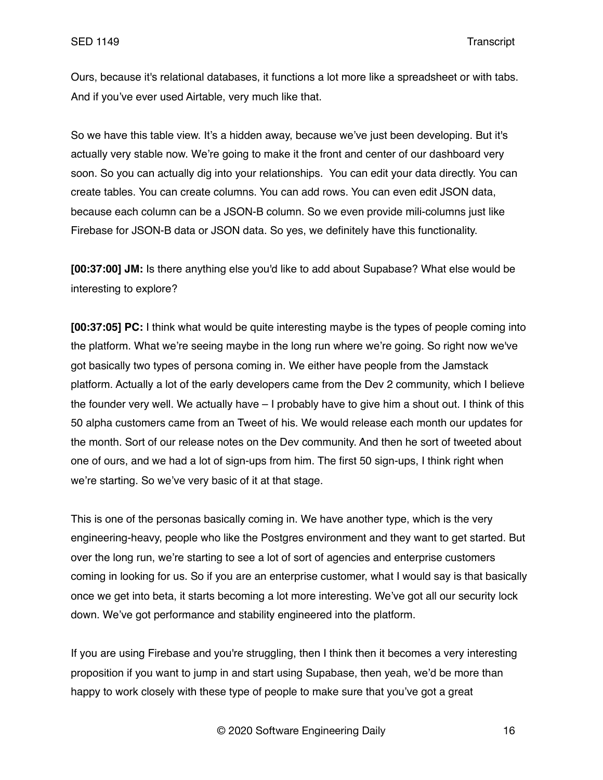Ours, because it's relational databases, it functions a lot more like a spreadsheet or with tabs. And if you've ever used Airtable, very much like that.

So we have this table view. It's a hidden away, because we've just been developing. But it's actually very stable now. We're going to make it the front and center of our dashboard very soon. So you can actually dig into your relationships. You can edit your data directly. You can create tables. You can create columns. You can add rows. You can even edit JSON data, because each column can be a JSON-B column. So we even provide mili-columns just like Firebase for JSON-B data or JSON data. So yes, we definitely have this functionality.

**[00:37:00] JM:** Is there anything else you'd like to add about Supabase? What else would be interesting to explore?

**[00:37:05] PC:** I think what would be quite interesting maybe is the types of people coming into the platform. What we're seeing maybe in the long run where we're going. So right now we've got basically two types of persona coming in. We either have people from the Jamstack platform. Actually a lot of the early developers came from the Dev 2 community, which I believe the founder very well. We actually have – I probably have to give him a shout out. I think of this 50 alpha customers came from an Tweet of his. We would release each month our updates for the month. Sort of our release notes on the Dev community. And then he sort of tweeted about one of ours, and we had a lot of sign-ups from him. The first 50 sign-ups, I think right when we're starting. So we've very basic of it at that stage.

This is one of the personas basically coming in. We have another type, which is the very engineering-heavy, people who like the Postgres environment and they want to get started. But over the long run, we're starting to see a lot of sort of agencies and enterprise customers coming in looking for us. So if you are an enterprise customer, what I would say is that basically once we get into beta, it starts becoming a lot more interesting. We've got all our security lock down. We've got performance and stability engineered into the platform.

If you are using Firebase and you're struggling, then I think then it becomes a very interesting proposition if you want to jump in and start using Supabase, then yeah, we'd be more than happy to work closely with these type of people to make sure that you've got a great

© 2020 Software Engineering Daily 16